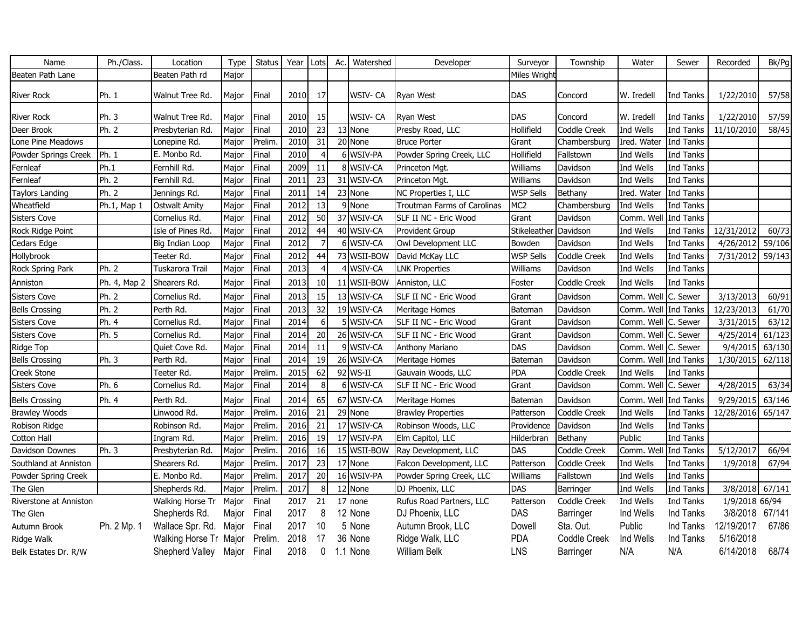| Name                   | Ph./Class.   | Location                    | Type  | <b>Status</b> | Year | Lots            | Ac. | Watershed   | Developer                   | Surveyor         | Township     | Water                | Sewer     | Recorded        | Bk/Pg  |
|------------------------|--------------|-----------------------------|-------|---------------|------|-----------------|-----|-------------|-----------------------------|------------------|--------------|----------------------|-----------|-----------------|--------|
| Beaten Path Lane       |              | Beaten Path rd              | Major |               |      |                 |     |             |                             | Miles Wright     |              |                      |           |                 |        |
| River Rock             | Ph. 1        | Walnut Tree Rd.             | Major | Final         | 2010 | 17              |     | WSIV- CA    | <b>Ryan West</b>            | <b>DAS</b>       | Concord      | W. Iredell           | Ind Tanks | 1/22/2010       | 57/58  |
| River Rock             | Ph. 3        | Walnut Tree Rd.             | Major | Final         | 2010 | 15              |     | WSIV-CA     | <b>Ryan West</b>            | DAS              | Concord      | W. Iredell           | Ind Tanks | 1/22/2010       | 57/59  |
| Deer Brook             | Ph. 2        | Presbyterian Rd.            | Major | Final         | 2010 | 23              |     | 13 None     | Presby Road, LLC            | Hollifield       | Coddle Creek | Ind Wells            | Ind Tanks | 11/10/2010      | 58/45  |
| Lone Pine Meadows      |              | Lonepine Rd.                | Major | Prelim        | 2010 | 31              |     | 20 None     | <b>Bruce Porter</b>         | Grant            | Chambersburg | Ired. Water          | Ind Tanks |                 |        |
| Powder Springs Creek   | Ph. 1        | E. Monbo Rd.                | Major | Final         | 2010 | 4               |     | 6 WSIV-PA   | Powder Spring Creek, LLC    | Hollifield       | Fallstown    | Ind Wells            | Ind Tanks |                 |        |
| Fernleaf               | Ph.1         | Fernhill Rd.                | Major | Final         | 2009 | 11              |     | 8 WSIV-CA   | Princeton Mgt.              | Williams         | Davidson     | Ind Wells            | Ind Tanks |                 |        |
| Fernleaf               | Ph. 2        | Fernhill Rd.                | Major | Final         | 2011 | 23              |     | 31 WSIV-CA  | Princeton Mgt.              | Williams         | Davidson     | Ind Wells            | Ind Tanks |                 |        |
| <b>Taylors Landing</b> | Ph. 2        | Jennings Rd.                | Major | Final         | 2011 | 14              |     | 23 None     | NC Properties I, LLC        | <b>WSP Sells</b> | Bethany      | Ired. Water          | Ind Tanks |                 |        |
| Wheatfield             | Ph.1, Map 1  | <b>Ostwalt Amity</b>        | Major | Final         | 2012 | 13              |     | 9 None      | Troutman Farms of Carolinas | MC <sub>2</sub>  | Chambersburg | Ind Wells            | Ind Tanks |                 |        |
| <b>Sisters Cove</b>    |              | Cornelius Rd.               | Major | Final         | 2012 | 50              |     | 37 WSIV-CA  | SLF II NC - Eric Wood       | Grant            | Davidson     | Comm. Well           | Ind Tanks |                 |        |
| Rock Ridge Point       |              | Isle of Pines Rd.           | Major | Final         | 2012 | 44              |     | 40 WSIV-CA  | Provident Group             | Stikeleather     | Davidson     | Ind Wells            | Ind Tanks | 12/31/2012      | 60/73  |
| Cedars Edge            |              | Big Indian Loop             | Major | Final         | 2012 |                 |     | 6 WSIV-CA   | Owl Development LLC         | Bowden           | Davidson     | Ind Wells            | Ind Tanks | 4/26/2012       | 59/106 |
| Hollybrook             |              | Teeter Rd.                  | Major | Final         | 2012 | 44              |     | 73 WSII-BOW | David McKay LLC             | <b>WSP Sells</b> | Coddle Creek | Ind Wells            | Ind Tanks | 7/31/2012       | 59/143 |
| Rock Spring Park       | Ph. 2        | Tuskarora Trail             | Major | Final         | 2013 | $\overline{4}$  |     | 4 WSIV-CA   | <b>LNK Properties</b>       | Williams         | Davidson     | Ind Wells            | Ind Tanks |                 |        |
| Anniston               | Ph. 4, Map 2 | Shearers Rd.                | Major | Final         | 2013 | 10 <sup>1</sup> |     | 11 WSII-BOW | Anniston, LLC               | Foster           | Coddle Creek | Ind Wells            | Ind Tanks |                 |        |
| <b>Sisters Cove</b>    | Ph. 2        | Cornelius Rd.               | Major | Final         | 2013 | 15              |     | 13 WSIV-CA  | SLF II NC - Eric Wood       | Grant            | Davidson     | Comm. Well C. Sewer  |           | 3/13/2013       | 60/91  |
| <b>Bells Crossing</b>  | Ph. 2        | Perth Rd.                   | Major | Final         | 2013 | 32              |     | 19 WSIV-CA  | Meritage Homes              | Bateman          | Davidson     | Comm. Well Ind Tanks |           | 12/23/2013      | 61/70  |
| <b>Sisters Cove</b>    | Ph. 4        | Cornelius Rd.               | Major | Final         | 2014 | 6               |     | 5 WSIV-CA   | SLF II NC - Eric Wood       | Grant            | Davidson     | Comm. Well C. Sewer  |           | 3/31/2015       | 63/12  |
| <b>Sisters Cove</b>    | Ph. 5        | Cornelius Rd.               | Major | Final         | 2014 | 20              |     | 26 WSIV-CA  | SLF II NC - Eric Wood       | Grant            | Davidson     | Comm. Well           | C. Sewer  | 4/25/2014       | 61/123 |
| Ridge Top              |              | Quiet Cove Rd.              | Major | Final         | 2014 | 11              |     | 9 WSIV-CA   | Anthony Mariano             | DAS              | Davidson     | Comm. Well C. Sewer  |           | 9/4/2015        | 63/130 |
| <b>Bells Crossing</b>  | Ph. 3        | Perth Rd.                   | Major | Final         | 2014 | 19              |     | 26 WSIV-CA  | Meritage Homes              | Bateman          | Davidson     | Comm. Well Ind Tanks |           | 1/30/2015       | 62/118 |
| Creek Stone            |              | Teeter Rd.                  | Major | Prelim        | 2015 | 62              |     | 92 WS-II    | Gauvain Woods, LLC          | <b>PDA</b>       | Coddle Creek | Ind Wells            | Ind Tanks |                 |        |
| <b>Sisters Cove</b>    | Ph. 6        | Cornelius Rd.               | Major | Final         | 2014 | 8               |     | 6 WSIV-CA   | SLF II NC - Eric Wood       | Grant            | Davidson     | Comm. Well C. Sewer  |           | 4/28/2015       | 63/34  |
| <b>Bells Crossing</b>  | Ph. 4        | Perth Rd.                   | Major | Final         | 2014 | 65              |     | 67 WSIV-CA  | Meritage Homes              | Bateman          | Davidson     | Comm. Well Ind Tanks |           | 9/29/2015       | 63/146 |
| <b>Brawley Woods</b>   |              | Linwood Rd.                 | Major | Prelim        | 2016 | 21              |     | 29 None     | <b>Brawley Properties</b>   | Patterson        | Coddle Creek | Ind Wells            | Ind Tanks | 12/28/2016      | 65/147 |
| Robison Ridge          |              | Robinson Rd.                | Major | Prelim        | 2016 | 21              |     | 17 WSIV-CA  | Robinson Woods, LLC         | Providence       | Davidson     | Ind Wells            | Ind Tanks |                 |        |
| Cotton Hall            |              | Ingram Rd.                  | Major | Prelim        | 2016 | 19              |     | 17 WSIV-PA  | Elm Capitol, LLC            | Hilderbran       | Bethany      | Public               | Ind Tanks |                 |        |
| Davidson Downes        | Ph. 3        | Presbyterian Rd.            | Major | Prelim        | 2016 | 16              |     | 15 WSII-BOW | Ray Development, LLC        | DAS              | Coddle Creek | Comm. Well Ind Tanks |           | 5/12/2017       | 66/94  |
| Southland at Anniston  |              | Shearers Rd.                | Major | Prelim.       | 2017 | 23              |     | 17 None     | Falcon Development, LLC     | Patterson        | Coddle Creek | Ind Wells            | Ind Tanks | 1/9/2018        | 67/94  |
| Powder Spring Creek    |              | E. Monbo Rd.                | Major | Prelim        | 2017 | 20              |     | 16 WSIV-PA  | Powder Spring Creek, LLC    | Williams         | Fallstown    | Ind Wells            | Ind Tanks |                 |        |
| The Glen               |              | Shepherds Rd.               | Major | Prelim        | 2017 | 8               |     | 12 None     | DJ Phoenix, LLC             | DAS              | Barringer    | Ind Wells            | Ind Tanks | 3/8/2018        | 67/141 |
| Riverstone at Anniston |              | Walking Horse Tr            | Major | Final         | 2017 | 21              |     | 17 none     | Rufus Road Partners, LLC    | Patterson        | Coddle Creek | Ind Wells            | Ind Tanks | 1/9/2018 66/94  |        |
| The Glen               |              | Shepherds Rd.               | Major | Final         | 2017 | 8               |     | 12 None     | DJ Phoenix, LLC             | DAS              | Barringer    | Ind Wells            | Ind Tanks | 3/8/2018 67/141 |        |
| Autumn Brook           | Ph. 2 Mp. 1  | Wallace Spr. Rd.            | Major | Final         | 2017 | 10              |     | 5 None      | Autumn Brook, LLC           | Dowell           | Sta. Out.    | Public               | Ind Tanks | 12/19/2017      | 67/86  |
| Ridge Walk             |              | Walking Horse Tr Major      |       | Prelim.       | 2018 | 17              |     | 36 None     | Ridge Walk, LLC             | <b>PDA</b>       | Coddle Creek | Ind Wells            | Ind Tanks | 5/16/2018       |        |
| Belk Estates Dr. R/W   |              | Shepherd Valley Major Final |       |               | 2018 | $\mathbf 0$     |     | 1.1 None    | William Belk                | <b>LNS</b>       | Barringer    | N/A                  | N/A       | 6/14/2018       | 68/74  |